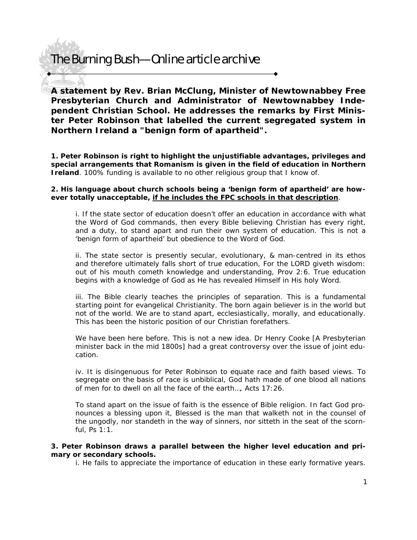### The Burning Bush—Online article archive

**A statement by Rev. Brian McClung, Minister of Newtownabbey Free Presbyterian Church and Administrator of Newtownabbey Independent Christian School. He addresses the remarks by First Minister Peter Robinson that labelled the current segregated system in Northern Ireland a "benign form of apartheid".** 

**1. Peter Robinson is right to highlight the unjustifiable advantages, privileges and special arrangements that Romanism is given in the field of education in Northern Ireland**. 100% funding is available to no other religious group that I know of.

#### **2. His language about church schools being a 'benign form of apartheid' are however totally unacceptable, if he includes the FPC schools in that description**.

i. If the state sector of education doesn't offer an education in accordance with what the Word of God commands, then every Bible believing Christian has every right, and a duty, to stand apart and run their own system of education. This is not a 'benign form of apartheid' but obedience to the Word of God.

ii. The state sector is presently secular, evolutionary, & man-centred in its ethos and therefore ultimately falls short of true education, For the LORD giveth wisdom: out of his mouth cometh knowledge and understanding, Prov 2:6. True education begins with a knowledge of God as He has revealed Himself in His holy Word.

iii. The Bible clearly teaches the principles of separation. This is a fundamental starting point for evangelical Christianity. The born again believer is in the world but not of the world. We are to stand apart, ecclesiastically, morally, and educationally. This has been the historic position of our Christian forefathers.

We have been here before. This is not a new idea. Dr Henry Cooke [A Presbyterian minister back in the mid 1800s] had a great controversy over the issue of joint education.

iv. It is disingenuous for Peter Robinson to equate race and faith based views. To segregate on the basis of race is unbiblical, God hath made of one blood all nations of men for to dwell on all the face of the earth…, Acts 17:26.

To stand apart on the issue of faith is the essence of Bible religion. In fact God pronounces a blessing upon it, Blessed is the man that walketh not in the counsel of the ungodly, nor standeth in the way of sinners, nor sitteth in the seat of the scornful, Ps 1:1.

#### **3. Peter Robinson draws a parallel between the higher level education and primary or secondary schools.**

i. He fails to appreciate the importance of education in these early formative years.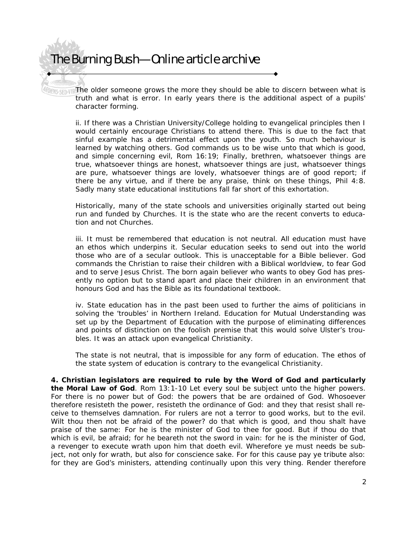## The Burning Bush—Online article archive

**SARD THE OLDER SOMEONE GROWS the more they should be able to discern between what is** truth and what is error. In early years there is the additional aspect of a pupils' character forming.

ii. If there was a Christian University/College holding to evangelical principles then I would certainly encourage Christians to attend there. This is due to the fact that sinful example has a detrimental effect upon the youth. So much behaviour is learned by watching others. God commands us to be wise unto that which is good, and simple concerning evil, Rom 16:19; Finally, brethren, whatsoever things are true, whatsoever things are honest, whatsoever things are just, whatsoever things are pure, whatsoever things are lovely, whatsoever things are of good report; if there be any virtue, and if there be any praise, think on these things, Phil 4:8. Sadly many state educational institutions fall far short of this exhortation.

Historically, many of the state schools and universities originally started out being run and funded by Churches. It is the state who are the recent converts to education and not Churches.

iii. It must be remembered that education is not neutral. All education must have an ethos which underpins it. Secular education seeks to send out into the world those who are of a secular outlook. This is unacceptable for a Bible believer. God commands the Christian to raise their children with a Biblical worldview, to fear God and to serve Jesus Christ. The born again believer who wants to obey God has presently no option but to stand apart and place their children in an environment that honours God and has the Bible as its foundational textbook.

iv. State education has in the past been used to further the aims of politicians in solving the 'troubles' in Northern Ireland. Education for Mutual Understanding was set up by the Department of Education with the purpose of eliminating differences and points of distinction on the foolish premise that this would solve Ulster's troubles. It was an attack upon evangelical Christianity.

The state is not neutral, that is impossible for any form of education. The ethos of the state system of education is contrary to the evangelical Christianity.

**4. Christian legislators are required to rule by the Word of God and particularly the Moral Law of God**. Rom 13:1-10 *Let every soul be subject unto the higher powers.*  For there is no power but of God: the powers that be are ordained of God. Whosoever *therefore resisteth the power, resisteth the ordinance of God: and they that resist shall receive to themselves damnation. For rulers are not a terror to good works, but to the evil. Wilt thou then not be afraid of the power? do that which is good, and thou shalt have praise of the same: For he is the minister of God to thee for good. But if thou do that which is evil, be afraid; for he beareth not the sword in vain: for he is the minister of God, a revenger to execute wrath upon him that doeth evil. Wherefore ye must needs be subject, not only for wrath, but also for conscience sake. For for this cause pay ye tribute also: for they are God's ministers, attending continually upon this very thing. Render therefore*